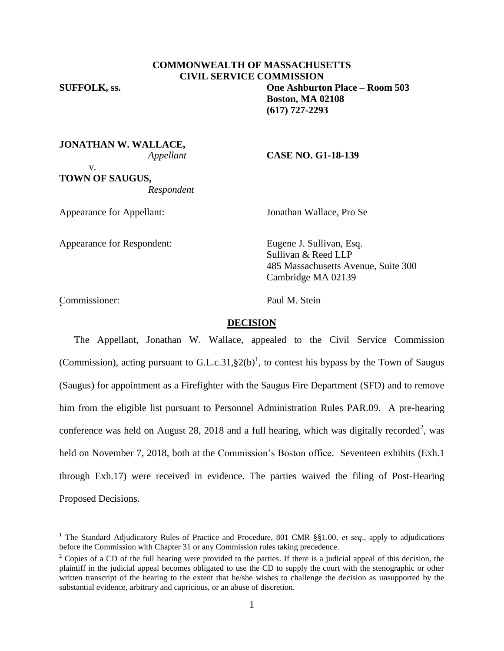# **COMMONWEALTH OF MASSACHUSETTS CIVIL SERVICE COMMISSION**

**SUFFOLK, ss. One Ashburton Place – Room 503 Boston, MA 02108 (617) 727-2293**

**JONATHAN W. WALLACE,**

## *Appellant* **CASE NO. G1-18-139**

v. **TOWN OF SAUGUS,** *Respondent*

Appearance for Appellant: Jonathan Wallace, Pro Se

Appearance for Respondent: Eugene J. Sullivan, Esq.

Sullivan & Reed LLP 485 Massachusetts Avenue, Suite 300 Cambridge MA 02139

Commissioner: Paul M. Stein <sup>2</sup>

 $\overline{a}$ 

## **DECISION**

The Appellant, Jonathan W. Wallace, appealed to the Civil Service Commission (Commission), acting pursuant to G.L.c.31,  $\S2(b)^1$ , to contest his bypass by the Town of Saugus (Saugus) for appointment as a Firefighter with the Saugus Fire Department (SFD) and to remove him from the eligible list pursuant to Personnel Administration Rules PAR.09. A pre-hearing conference was held on August 28, 2018 and a full hearing, which was digitally recorded<sup>2</sup>, was held on November 7, 2018, both at the Commission's Boston office. Seventeen exhibits (Exh.1) through Exh.17) were received in evidence. The parties waived the filing of Post-Hearing Proposed Decisions.

<sup>&</sup>lt;sup>1</sup> The Standard Adjudicatory Rules of Practice and Procedure, 801 CMR §§1.00, *et seq.*, apply to adjudications before the Commission with Chapter 31 or any Commission rules taking precedence.

<sup>&</sup>lt;sup>2</sup> Copies of a CD of the full hearing were provided to the parties. If there is a judicial appeal of this decision, the plaintiff in the judicial appeal becomes obligated to use the CD to supply the court with the stenographic or other written transcript of the hearing to the extent that he/she wishes to challenge the decision as unsupported by the substantial evidence, arbitrary and capricious, or an abuse of discretion.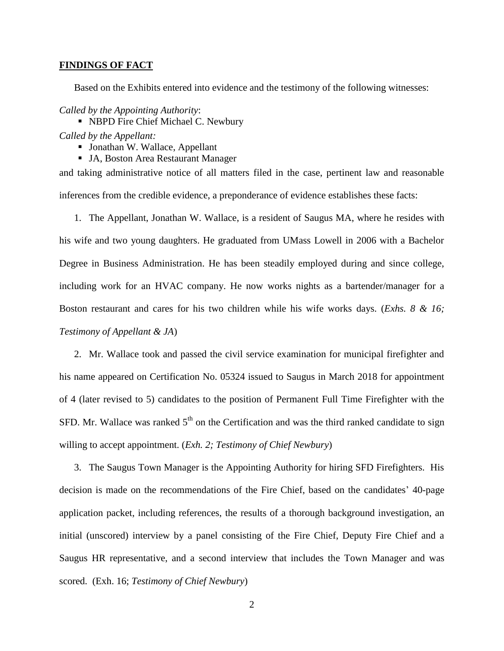### **FINDINGS OF FACT**

Based on the Exhibits entered into evidence and the testimony of the following witnesses:

*Called by the Appointing Authority*:

• NBPD Fire Chief Michael C. Newbury

*Called by the Appellant:*

- Jonathan W. Wallace, Appellant
- JA, Boston Area Restaurant Manager

and taking administrative notice of all matters filed in the case, pertinent law and reasonable inferences from the credible evidence, a preponderance of evidence establishes these facts:

1. The Appellant, Jonathan W. Wallace, is a resident of Saugus MA, where he resides with his wife and two young daughters. He graduated from UMass Lowell in 2006 with a Bachelor Degree in Business Administration. He has been steadily employed during and since college, including work for an HVAC company. He now works nights as a bartender/manager for a Boston restaurant and cares for his two children while his wife works days. (*Exhs. 8 & 16; Testimony of Appellant & JA*)

2. Mr. Wallace took and passed the civil service examination for municipal firefighter and his name appeared on Certification No. 05324 issued to Saugus in March 2018 for appointment of 4 (later revised to 5) candidates to the position of Permanent Full Time Firefighter with the SFD. Mr. Wallace was ranked  $5<sup>th</sup>$  on the Certification and was the third ranked candidate to sign willing to accept appointment. (*Exh. 2; Testimony of Chief Newbury*)

3. The Saugus Town Manager is the Appointing Authority for hiring SFD Firefighters. His decision is made on the recommendations of the Fire Chief, based on the candidates' 40-page application packet, including references, the results of a thorough background investigation, an initial (unscored) interview by a panel consisting of the Fire Chief, Deputy Fire Chief and a Saugus HR representative, and a second interview that includes the Town Manager and was scored. (Exh. 16; *Testimony of Chief Newbury*)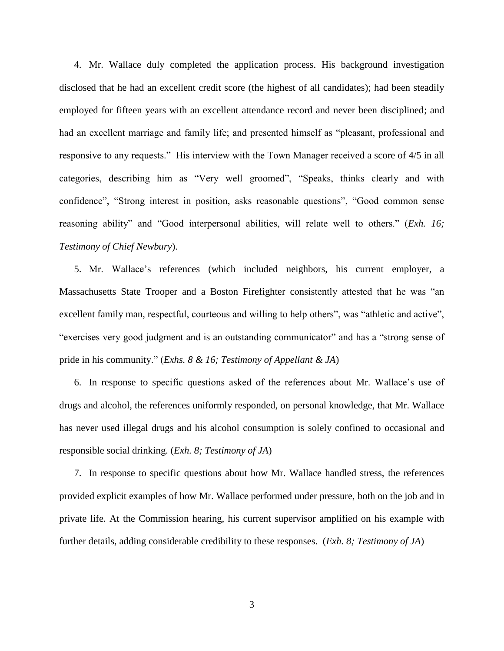4. Mr. Wallace duly completed the application process. His background investigation disclosed that he had an excellent credit score (the highest of all candidates); had been steadily employed for fifteen years with an excellent attendance record and never been disciplined; and had an excellent marriage and family life; and presented himself as "pleasant, professional and responsive to any requests." His interview with the Town Manager received a score of 4/5 in all categories, describing him as "Very well groomed", "Speaks, thinks clearly and with confidence", "Strong interest in position, asks reasonable questions", "Good common sense reasoning ability" and "Good interpersonal abilities, will relate well to others." (*Exh. 16; Testimony of Chief Newbury*).

5. Mr. Wallace's references (which included neighbors, his current employer, a Massachusetts State Trooper and a Boston Firefighter consistently attested that he was "an excellent family man, respectful, courteous and willing to help others", was "athletic and active", "exercises very good judgment and is an outstanding communicator" and has a "strong sense of pride in his community." (*Exhs. 8 & 16; Testimony of Appellant & JA*)

6. In response to specific questions asked of the references about Mr. Wallace's use of drugs and alcohol, the references uniformly responded, on personal knowledge, that Mr. Wallace has never used illegal drugs and his alcohol consumption is solely confined to occasional and responsible social drinking. (*Exh. 8; Testimony of JA*)

7. In response to specific questions about how Mr. Wallace handled stress, the references provided explicit examples of how Mr. Wallace performed under pressure, both on the job and in private life. At the Commission hearing, his current supervisor amplified on his example with further details, adding considerable credibility to these responses. (*Exh. 8; Testimony of JA*)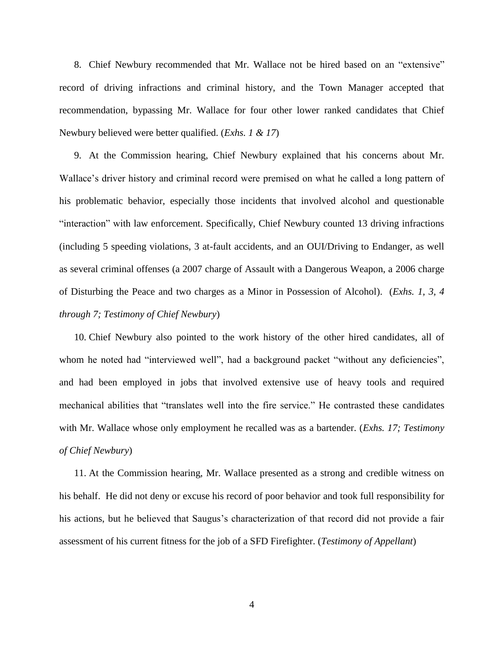8. Chief Newbury recommended that Mr. Wallace not be hired based on an "extensive" record of driving infractions and criminal history, and the Town Manager accepted that recommendation, bypassing Mr. Wallace for four other lower ranked candidates that Chief Newbury believed were better qualified. (*Exhs. 1 & 17*)

9. At the Commission hearing, Chief Newbury explained that his concerns about Mr. Wallace's driver history and criminal record were premised on what he called a long pattern of his problematic behavior, especially those incidents that involved alcohol and questionable "interaction" with law enforcement. Specifically, Chief Newbury counted 13 driving infractions (including 5 speeding violations, 3 at-fault accidents, and an OUI/Driving to Endanger, as well as several criminal offenses (a 2007 charge of Assault with a Dangerous Weapon, a 2006 charge of Disturbing the Peace and two charges as a Minor in Possession of Alcohol). (*Exhs. 1, 3, 4 through 7; Testimony of Chief Newbury*)

10. Chief Newbury also pointed to the work history of the other hired candidates, all of whom he noted had "interviewed well", had a background packet "without any deficiencies", and had been employed in jobs that involved extensive use of heavy tools and required mechanical abilities that "translates well into the fire service." He contrasted these candidates with Mr. Wallace whose only employment he recalled was as a bartender. (*Exhs. 17; Testimony of Chief Newbury*)

11. At the Commission hearing, Mr. Wallace presented as a strong and credible witness on his behalf. He did not deny or excuse his record of poor behavior and took full responsibility for his actions, but he believed that Saugus's characterization of that record did not provide a fair assessment of his current fitness for the job of a SFD Firefighter. (*Testimony of Appellant*)

4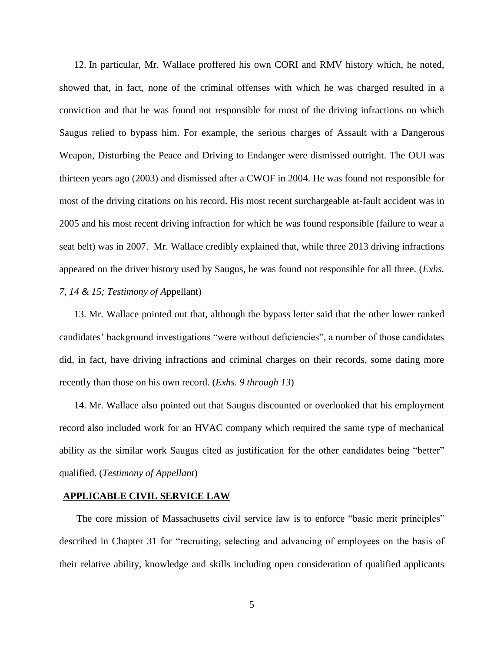12. In particular, Mr. Wallace proffered his own CORI and RMV history which, he noted, showed that, in fact, none of the criminal offenses with which he was charged resulted in a conviction and that he was found not responsible for most of the driving infractions on which Saugus relied to bypass him. For example, the serious charges of Assault with a Dangerous Weapon, Disturbing the Peace and Driving to Endanger were dismissed outright. The OUI was thirteen years ago (2003) and dismissed after a CWOF in 2004. He was found not responsible for most of the driving citations on his record. His most recent surchargeable at-fault accident was in 2005 and his most recent driving infraction for which he was found responsible (failure to wear a seat belt) was in 2007. Mr. Wallace credibly explained that, while three 2013 driving infractions appeared on the driver history used by Saugus, he was found not responsible for all three. (*Exhs. 7, 14 & 15; Testimony of A*ppellant)

13. Mr. Wallace pointed out that, although the bypass letter said that the other lower ranked candidates' background investigations "were without deficiencies", a number of those candidates did, in fact, have driving infractions and criminal charges on their records, some dating more recently than those on his own record. (*Exhs. 9 through 13*)

14. Mr. Wallace also pointed out that Saugus discounted or overlooked that his employment record also included work for an HVAC company which required the same type of mechanical ability as the similar work Saugus cited as justification for the other candidates being "better" qualified. (*Testimony of Appellant*)

#### **APPLICABLE CIVIL SERVICE LAW**

The core mission of Massachusetts civil service law is to enforce "basic merit principles" described in Chapter 31 for "recruiting, selecting and advancing of employees on the basis of their relative ability, knowledge and skills including open consideration of qualified applicants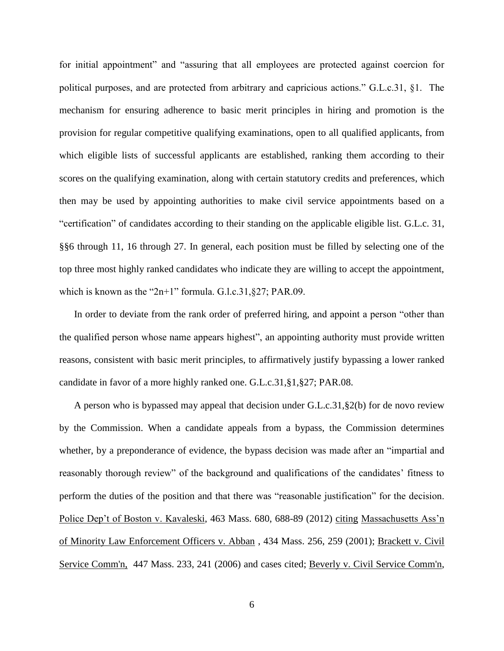for initial appointment" and "assuring that all employees are protected against coercion for political purposes, and are protected from arbitrary and capricious actions." G.L.c.31, §1. The mechanism for ensuring adherence to basic merit principles in hiring and promotion is the provision for regular competitive qualifying examinations, open to all qualified applicants, from which eligible lists of successful applicants are established, ranking them according to their scores on the qualifying examination, along with certain statutory credits and preferences, which then may be used by appointing authorities to make civil service appointments based on a "certification" of candidates according to their standing on the applicable eligible list. G.L.c. 31, §§6 through 11, 16 through 27. In general, each position must be filled by selecting one of the top three most highly ranked candidates who indicate they are willing to accept the appointment, which is known as the "2n+1" formula. G.l.c.31, §27; PAR.09.

In order to deviate from the rank order of preferred hiring, and appoint a person "other than the qualified person whose name appears highest", an appointing authority must provide written reasons, consistent with basic merit principles, to affirmatively justify bypassing a lower ranked candidate in favor of a more highly ranked one. G.L.c.31,§1,§27; PAR.08.

A person who is bypassed may appeal that decision under G.L.c.31,§2(b) for de novo review by the Commission. When a candidate appeals from a bypass, the Commission determines whether, by a preponderance of evidence, the bypass decision was made after an "impartial and reasonably thorough review" of the background and qualifications of the candidates' fitness to perform the duties of the position and that there was "reasonable justification" for the decision. Police Dep't of Boston v. Kavaleski, 463 Mass. 680, 688-89 (2012) citing Massachusetts Ass'n of Minority Law Enforcement Officers v. Abban , 434 Mass. 256, 259 (2001); [Brackett v. Civil](http://web2.westlaw.com/find/default.wl?mt=Massachusetts&db=578&rs=WLW15.04&tc=-1&rp=%2ffind%2fdefault.wl&findtype=Y&ordoc=2029136022&serialnum=2009543382&vr=2.0&fn=_top&sv=Split&tf=-1&pbc=70F732C1&utid=1)  [Service Comm'n, 447 Mass. 233, 241 \(2006\)](http://web2.westlaw.com/find/default.wl?mt=Massachusetts&db=578&rs=WLW15.04&tc=-1&rp=%2ffind%2fdefault.wl&findtype=Y&ordoc=2029136022&serialnum=2009543382&vr=2.0&fn=_top&sv=Split&tf=-1&pbc=70F732C1&utid=1) and cases cited; [Beverly v. Civil Service Comm'n,](http://web2.westlaw.com/find/default.wl?mt=Massachusetts&db=578&rs=WLW15.04&tc=-1&rp=%2ffind%2fdefault.wl&findtype=Y&ordoc=2029136022&serialnum=2023501172&vr=2.0&fn=_top&sv=Split&tf=-1&pbc=70F732C1&utid=1)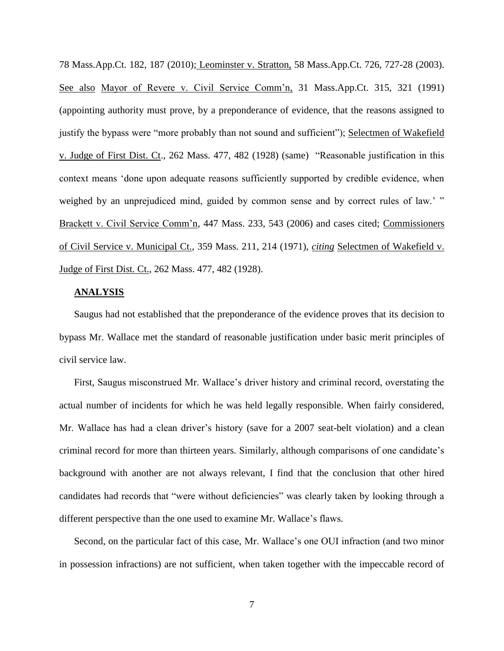[78 Mass.App.Ct. 182, 187 \(2010\);](http://web2.westlaw.com/find/default.wl?mt=Massachusetts&db=578&rs=WLW15.04&tc=-1&rp=%2ffind%2fdefault.wl&findtype=Y&ordoc=2029136022&serialnum=2023501172&vr=2.0&fn=_top&sv=Split&tf=-1&pbc=70F732C1&utid=1) Leominster v. Stratton, 58 Mass.App.Ct. 726, 727-28 (2003). See also Mayor of Revere v. Civil Service Comm'n, 31 Mass.App.Ct. 315, 321 (1991) (appointing authority must prove, by a preponderance of evidence, that the reasons assigned to justify the bypass were "more probably than not sound and sufficient"); Selectmen of Wakefield v. Judge of First Dist. Ct., 262 Mass. 477, 482 (1928) (same) "Reasonable justification in this context means 'done upon adequate reasons sufficiently supported by credible evidence, when weighed by an unprejudiced mind, guided by common sense and by correct rules of law.' " Brackett v. Civil Service Comm'n, 447 Mass. 233, 543 (2006) and cases cited; Commissioners of Civil Service v. Municipal Ct., 359 Mass. 211, 214 (1971), *citing* Selectmen of Wakefield v. Judge of First Dist. Ct., 262 Mass. 477, 482 (1928).

## **ANALYSIS**

Saugus had not established that the preponderance of the evidence proves that its decision to bypass Mr. Wallace met the standard of reasonable justification under basic merit principles of civil service law.

First, Saugus misconstrued Mr. Wallace's driver history and criminal record, overstating the actual number of incidents for which he was held legally responsible. When fairly considered, Mr. Wallace has had a clean driver's history (save for a 2007 seat-belt violation) and a clean criminal record for more than thirteen years. Similarly, although comparisons of one candidate's background with another are not always relevant, I find that the conclusion that other hired candidates had records that "were without deficiencies" was clearly taken by looking through a different perspective than the one used to examine Mr. Wallace's flaws.

Second, on the particular fact of this case, Mr. Wallace's one OUI infraction (and two minor in possession infractions) are not sufficient, when taken together with the impeccable record of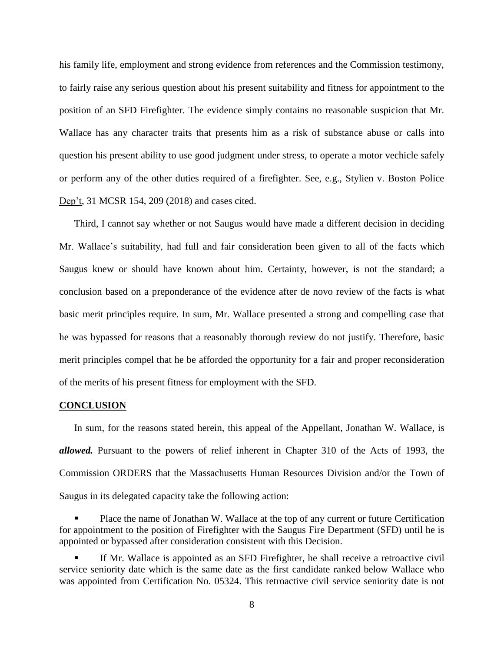his family life, employment and strong evidence from references and the Commission testimony, to fairly raise any serious question about his present suitability and fitness for appointment to the position of an SFD Firefighter. The evidence simply contains no reasonable suspicion that Mr. Wallace has any character traits that presents him as a risk of substance abuse or calls into question his present ability to use good judgment under stress, to operate a motor vechicle safely or perform any of the other duties required of a firefighter. See, e.g., Stylien v. Boston Police Dep't, 31 MCSR 154, 209 (2018) and cases cited.

Third, I cannot say whether or not Saugus would have made a different decision in deciding Mr. Wallace's suitability, had full and fair consideration been given to all of the facts which Saugus knew or should have known about him. Certainty, however, is not the standard; a conclusion based on a preponderance of the evidence after de novo review of the facts is what basic merit principles require. In sum, Mr. Wallace presented a strong and compelling case that he was bypassed for reasons that a reasonably thorough review do not justify. Therefore, basic merit principles compel that he be afforded the opportunity for a fair and proper reconsideration of the merits of his present fitness for employment with the SFD.

#### **CONCLUSION**

In sum, for the reasons stated herein, this appeal of the Appellant, Jonathan W. Wallace, is *allowed.* Pursuant to the powers of relief inherent in Chapter 310 of the Acts of 1993, the Commission ORDERS that the Massachusetts Human Resources Division and/or the Town of Saugus in its delegated capacity take the following action:

 Place the name of Jonathan W. Wallace at the top of any current or future Certification for appointment to the position of Firefighter with the Saugus Fire Department (SFD) until he is appointed or bypassed after consideration consistent with this Decision.

 If Mr. Wallace is appointed as an SFD Firefighter, he shall receive a retroactive civil service seniority date which is the same date as the first candidate ranked below Wallace who was appointed from Certification No. 05324. This retroactive civil service seniority date is not

8